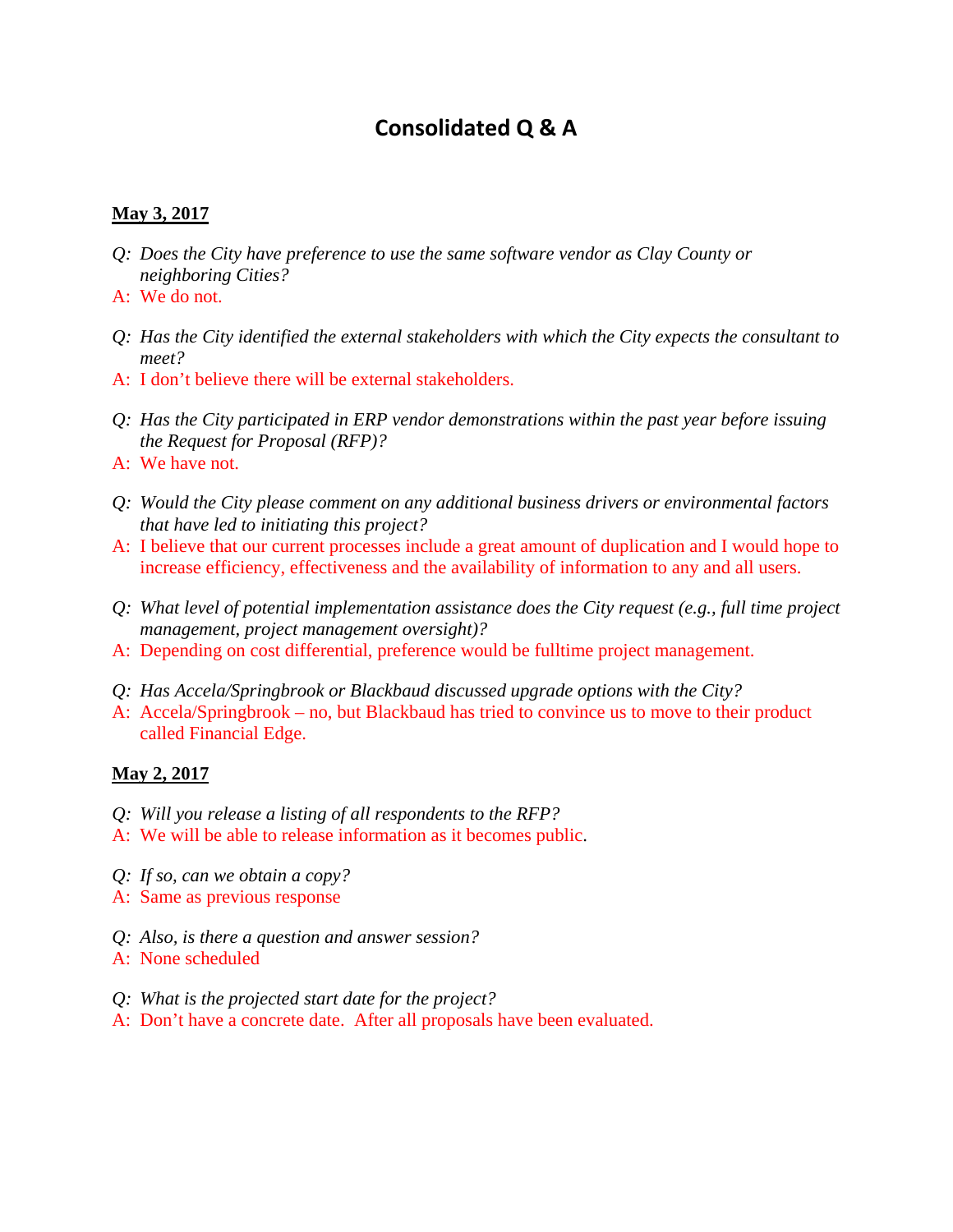# **Consolidated Q & A**

### **May 3, 2017**

- *Q: Does the City have preference to use the same software vendor as Clay County or neighboring Cities?*
- A: We do not.
- *Q: Has the City identified the external stakeholders with which the City expects the consultant to meet?*
- A: I don't believe there will be external stakeholders.
- *Q: Has the City participated in ERP vendor demonstrations within the past year before issuing the Request for Proposal (RFP)?*
- A: We have not.
- *Q: Would the City please comment on any additional business drivers or environmental factors that have led to initiating this project?*
- A: I believe that our current processes include a great amount of duplication and I would hope to increase efficiency, effectiveness and the availability of information to any and all users.
- *Q: What level of potential implementation assistance does the City request (e.g., full time project management, project management oversight)?*
- A: Depending on cost differential, preference would be fulltime project management.
- *Q: Has Accela/Springbrook or Blackbaud discussed upgrade options with the City?*
- A: Accela/Springbrook no, but Blackbaud has tried to convince us to move to their product called Financial Edge.

### **May 2, 2017**

- *Q: Will you release a listing of all respondents to the RFP?*
- A: We will be able to release information as it becomes public.
- *Q: If so, can we obtain a copy?*
- A: Same as previous response
- *Q: Also, is there a question and answer session?*
- A: None scheduled
- *Q: What is the projected start date for the project?*
- A: Don't have a concrete date. After all proposals have been evaluated.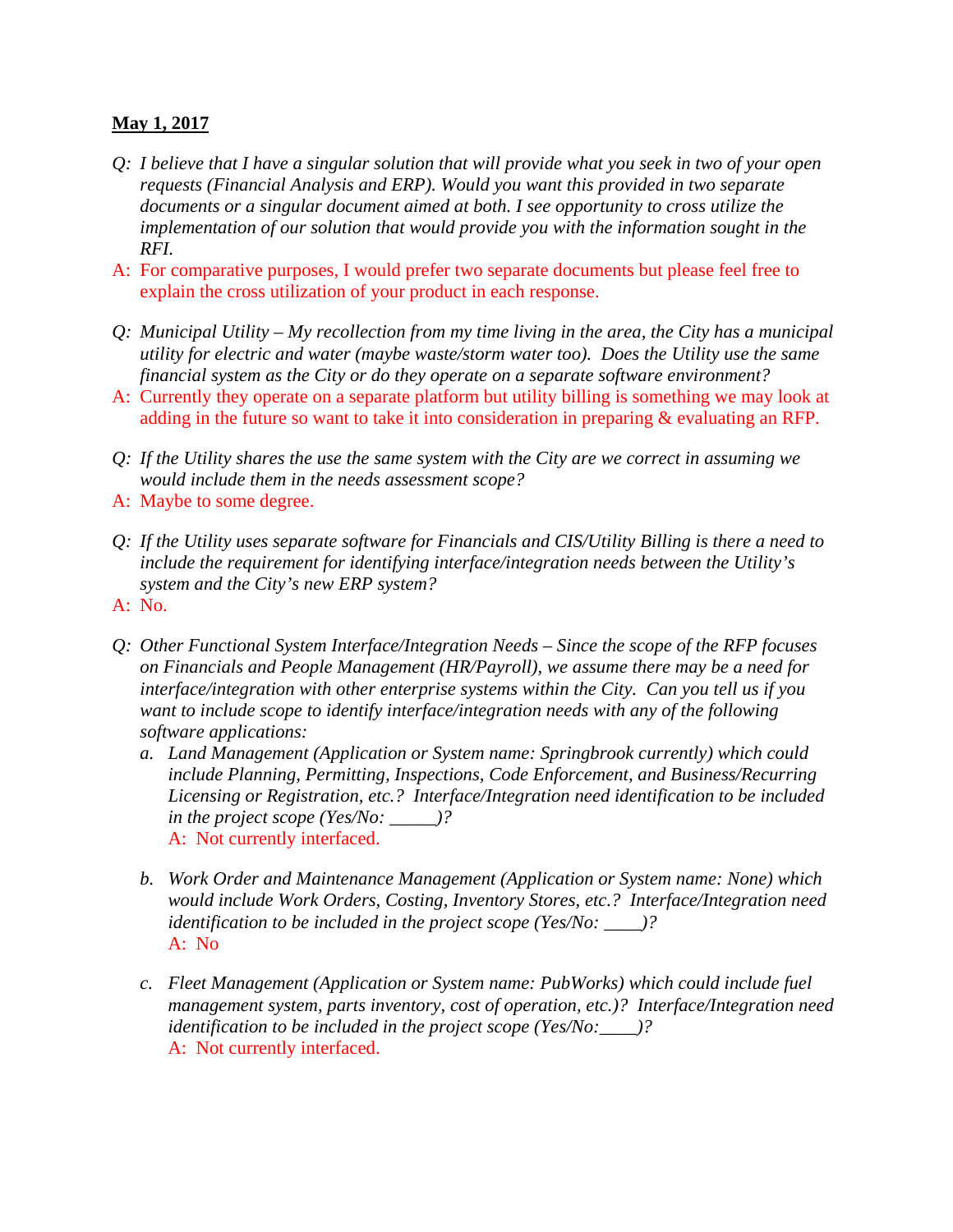### **May 1, 2017**

- *Q: I believe that I have a singular solution that will provide what you seek in two of your open requests (Financial Analysis and ERP). Would you want this provided in two separate documents or a singular document aimed at both. I see opportunity to cross utilize the implementation of our solution that would provide you with the information sought in the RFI.*
- A: For comparative purposes, I would prefer two separate documents but please feel free to explain the cross utilization of your product in each response.
- *Q: Municipal Utility My recollection from my time living in the area, the City has a municipal utility for electric and water (maybe waste/storm water too). Does the Utility use the same financial system as the City or do they operate on a separate software environment?*
- A: Currently they operate on a separate platform but utility billing is something we may look at adding in the future so want to take it into consideration in preparing & evaluating an RFP.
- *Q: If the Utility shares the use the same system with the City are we correct in assuming we would include them in the needs assessment scope?*
- A: Maybe to some degree.
- *Q: If the Utility uses separate software for Financials and CIS/Utility Billing is there a need to include the requirement for identifying interface/integration needs between the Utility's system and the City's new ERP system?*
- A: No.
- *Q: Other Functional System Interface/Integration Needs Since the scope of the RFP focuses on Financials and People Management (HR/Payroll), we assume there may be a need for interface/integration with other enterprise systems within the City. Can you tell us if you want to include scope to identify interface/integration needs with any of the following software applications:* 
	- *a. Land Management (Application or System name: Springbrook currently) which could include Planning, Permitting, Inspections, Code Enforcement, and Business/Recurring Licensing or Registration, etc.? Interface/Integration need identification to be included in the project scope (Yes/No: \_\_\_\_\_)?* A: Not currently interfaced.
	- *b. Work Order and Maintenance Management (Application or System name: None) which would include Work Orders, Costing, Inventory Stores, etc.? Interface/Integration need identification to be included in the project scope (Yes/No: \_\_\_\_)?*  A: No
	- *c. Fleet Management (Application or System name: PubWorks) which could include fuel management system, parts inventory, cost of operation, etc.)? Interface/Integration need identification to be included in the project scope (Yes/No:\_\_\_\_)?*  A: Not currently interfaced.